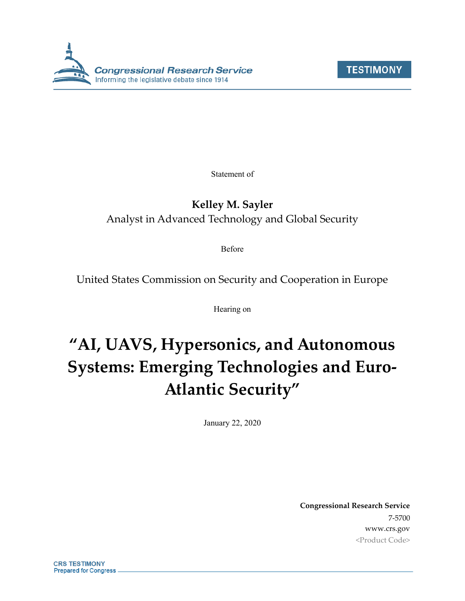



Statement of

# **Kelley M. Sayler** Analyst in Advanced Technology and Global Security

Before

United States Commission on Security and Cooperation in Europe

Hearing on

# **"AI, UAVS, Hypersonics, and Autonomous Systems: Emerging Technologies and Euro-Atlantic Security"**

January 22, 2020

**Congressional Research Service** 7-5700 www.crs.gov <Product Code>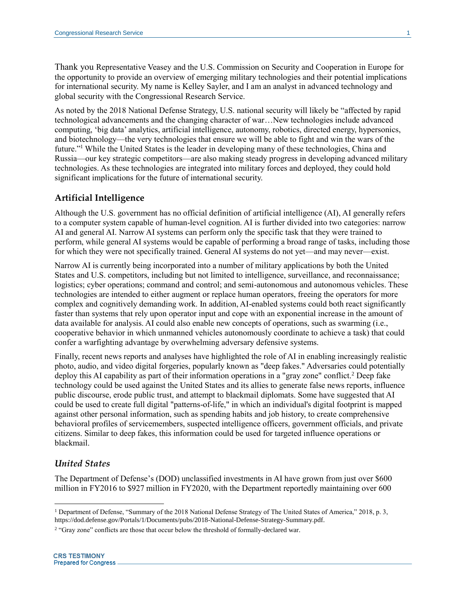Thank you Representative Veasey and the U.S. Commission on Security and Cooperation in Europe for the opportunity to provide an overview of emerging military technologies and their potential implications for international security. My name is Kelley Sayler, and I am an analyst in advanced technology and global security with the Congressional Research Service.

As noted by the 2018 National Defense Strategy, U.S. national security will likely be "affected by rapid technological advancements and the changing character of war…New technologies include advanced computing, 'big data' analytics, artificial intelligence, autonomy, robotics, directed energy, hypersonics, and biotechnology—the very technologies that ensure we will be able to fight and win the wars of the future."<sup>1</sup> While the United States is the leader in developing many of these technologies, China and Russia—our key strategic competitors—are also making steady progress in developing advanced military technologies. As these technologies are integrated into military forces and deployed, they could hold significant implications for the future of international security.

# **Artificial Intelligence**

Although the U.S. government has no official definition of artificial intelligence (AI), AI generally refers to a computer system capable of human-level cognition. AI is further divided into two categories: narrow AI and general AI. Narrow AI systems can perform only the specific task that they were trained to perform, while general AI systems would be capable of performing a broad range of tasks, including those for which they were not specifically trained. General AI systems do not yet—and may never—exist.

Narrow AI is currently being incorporated into a number of military applications by both the United States and U.S. competitors, including but not limited to intelligence, surveillance, and reconnaissance; logistics; cyber operations; command and control; and semi-autonomous and autonomous vehicles. These technologies are intended to either augment or replace human operators, freeing the operators for more complex and cognitively demanding work. In addition, AI-enabled systems could both react significantly faster than systems that rely upon operator input and cope with an exponential increase in the amount of data available for analysis. AI could also enable new concepts of operations, such as swarming (i.e., cooperative behavior in which unmanned vehicles autonomously coordinate to achieve a task) that could confer a warfighting advantage by overwhelming adversary defensive systems.

Finally, recent news reports and analyses have highlighted the role of AI in enabling increasingly realistic photo, audio, and video digital forgeries, popularly known as "deep fakes." Adversaries could potentially deploy this AI capability as part of their information operations in a "gray zone" conflict.<sup>2</sup> Deep fake technology could be used against the United States and its allies to generate false news reports, influence public discourse, erode public trust, and attempt to blackmail diplomats. Some have suggested that AI could be used to create full digital "patterns-of-life," in which an individual's digital footprint is mapped against other personal information, such as spending habits and job history, to create comprehensive behavioral profiles of servicemembers, suspected intelligence officers, government officials, and private citizens. Similar to deep fakes, this information could be used for targeted influence operations or blackmail.

# *United States*

 $\overline{a}$ 

The Department of Defense's (DOD) unclassified investments in AI have grown from just over \$600 million in FY2016 to \$927 million in FY2020, with the Department reportedly maintaining over 600

<sup>1</sup> Department of Defense, "Summary of the 2018 National Defense Strategy of The United States of America," 2018, p. 3, https://dod.defense.gov/Portals/1/Documents/pubs/2018-National-Defense-Strategy-Summary.pdf.

<sup>&</sup>lt;sup>2</sup> "Gray zone" conflicts are those that occur below the threshold of formally-declared war.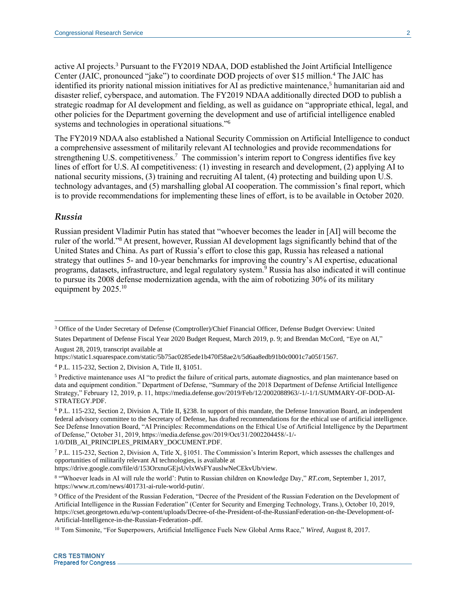active AI projects.<sup>3</sup> Pursuant to the FY2019 NDAA, DOD established the Joint Artificial Intelligence Center (JAIC, pronounced "jake") to coordinate DOD projects of over \$15 million.<sup>4</sup> The JAIC has identified its priority national mission initiatives for AI as predictive maintenance,<sup>5</sup> humanitarian aid and disaster relief, cyberspace, and automation. The FY2019 NDAA additionally directed DOD to publish a strategic roadmap for AI development and fielding, as well as guidance on "appropriate ethical, legal, and other policies for the Department governing the development and use of artificial intelligence enabled systems and technologies in operational situations."<sup>6</sup>

The FY2019 NDAA also established a National Security Commission on Artificial Intelligence to conduct a comprehensive assessment of militarily relevant AI technologies and provide recommendations for strengthening U.S. competitiveness.<sup>7</sup> The commission's interim report to Congress identifies five key lines of effort for U.S. AI competitiveness: (1) investing in research and development, (2) applying AI to national security missions, (3) training and recruiting AI talent, (4) protecting and building upon U.S. technology advantages, and (5) marshalling global AI cooperation. The commission's final report, which is to provide recommendations for implementing these lines of effort, is to be available in October 2020.

# *Russia*

 $\overline{a}$ 

Russian president Vladimir Putin has stated that "whoever becomes the leader in [AI] will become the ruler of the world." <sup>8</sup> At present, however, Russian AI development lags significantly behind that of the United States and China. As part of Russia's effort to close this gap, Russia has released a national strategy that outlines 5- and 10-year benchmarks for improving the country's AI expertise, educational programs, datasets, infrastructure, and legal regulatory system.<sup>9</sup> Russia has also indicated it will continue to pursue its 2008 defense modernization agenda, with the aim of robotizing 30% of its military equipment by 2025.<sup>10</sup>

https://drive.google.com/file/d/153OrxnuGEjsUvlxWsFYauslwNeCEkvUb/view.

<sup>3</sup> Office of the Under Secretary of Defense (Comptroller)/Chief Financial Officer, Defense Budget Overview: United

States Department of Defense Fiscal Year 2020 Budget Request, March 2019, p. 9; and Brendan McCord, "Eye on AI," August 28, 2019, transcript available at

https://static1.squarespace.com/static/5b75ac0285ede1b470f58ae2/t/5d6aa8edb91b0c0001c7a05f/1567.

<sup>4</sup> P.L. 115-232, Section 2, Division A, Title II, §1051.

<sup>5</sup> Predictive maintenance uses AI "to predict the failure of critical parts, automate diagnostics, and plan maintenance based on data and equipment condition." Department of Defense, "Summary of the 2018 Department of Defense Artificial Intelligence Strategy," February 12, 2019, p. 11, https://media.defense.gov/2019/Feb/12/2002088963/-1/-1/1/SUMMARY-OF-DOD-AI-STRATEGY.PDF.

<sup>6</sup> P.L. 115-232, Section 2, Division A, Title II, §238. In support of this mandate, the Defense Innovation Board, an independent federal advisory committee to the Secretary of Defense, has drafted recommendations for the ethical use of artificial intelligence. See Defense Innovation Board, "AI Principles: Recommendations on the Ethical Use of Artificial Intelligence by the Department of Defense," October 31, 2019, https://media.defense.gov/2019/Oct/31/2002204458/-1/- 1/0/DIB\_AI\_PRINCIPLES\_PRIMARY\_DOCUMENT.PDF.

 $7$  P.L. 115-232, Section 2, Division A, Title X, §1051. The Commission's Interim Report, which assesses the challenges and opportunities of militarily relevant AI technologies, is available at

<sup>8</sup> "'Whoever leads in AI will rule the world': Putin to Russian children on Knowledge Day," *RT.com*, September 1, 2017, https://www.rt.com/news/401731-ai-rule-world-putin/.

<sup>9</sup> Office of the President of the Russian Federation, "Decree of the President of the Russian Federation on the Development of Artificial Intelligence in the Russian Federation" (Center for Security and Emerging Technology, Trans.), October 10, 2019, https://cset.georgetown.edu/wp-content/uploads/Decree-of-the-President-of-the-RussianFederation-on-the-Development-of-Artificial-Intelligence-in-the-Russian-Federation-.pdf.

<sup>10</sup> Tom Simonite, "For Superpowers, Artificial Intelligence Fuels New Global Arms Race," *Wired*, August 8, 2017.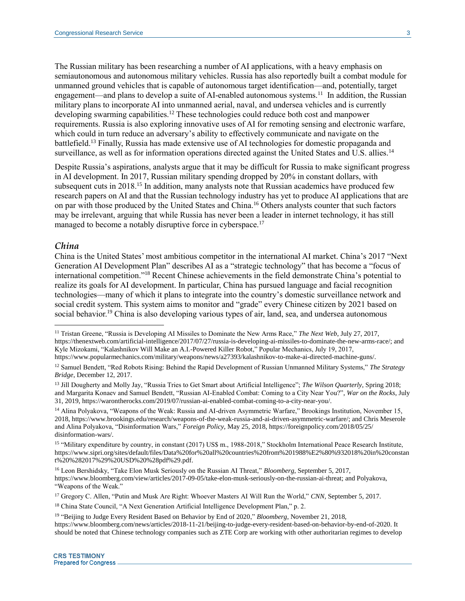The Russian military has been researching a number of AI applications, with a heavy emphasis on semiautonomous and autonomous military vehicles. Russia has also reportedly built a combat module for unmanned ground vehicles that is capable of autonomous target identification—and, potentially, target engagement—and plans to develop a suite of AI-enabled autonomous systems.<sup>11</sup> In addition, the Russian military plans to incorporate AI into unmanned aerial, naval, and undersea vehicles and is currently developing swarming capabilities.<sup>12</sup> These technologies could reduce both cost and manpower requirements. Russia is also exploring innovative uses of AI for remoting sensing and electronic warfare, which could in turn reduce an adversary's ability to effectively communicate and navigate on the battlefield.<sup>13</sup> Finally, Russia has made extensive use of AI technologies for domestic propaganda and surveillance, as well as for information operations directed against the United States and U.S. allies.<sup>14</sup>

Despite Russia's aspirations, analysts argue that it may be difficult for Russia to make significant progress in AI development. In 2017, Russian military spending dropped by 20% in constant dollars, with subsequent cuts in 2018.<sup>15</sup> In addition, many analysts note that Russian academics have produced few research papers on AI and that the Russian technology industry has yet to produce AI applications that are on par with those produced by the United States and China.<sup>16</sup> Others analysts counter that such factors may be irrelevant, arguing that while Russia has never been a leader in internet technology, it has still managed to become a notably disruptive force in cyberspace.<sup>17</sup>

#### *China*

 $\overline{a}$ 

China is the United States' most ambitious competitor in the international AI market. China's 2017 "Next Generation AI Development Plan" describes AI as a "strategic technology" that has become a "focus of international competition." <sup>18</sup> Recent Chinese achievements in the field demonstrate China's potential to realize its goals for AI development. In particular, China has pursued language and facial recognition technologies—many of which it plans to integrate into the country's domestic surveillance network and social credit system. This system aims to monitor and "grade" every Chinese citizen by 2021 based on social behavior.<sup>19</sup> China is also developing various types of air, land, sea, and undersea autonomous

<sup>11</sup> Tristan Greene, "Russia is Developing AI Missiles to Dominate the New Arms Race," *The Next Web*, July 27, 2017, https://thenextweb.com/artificial-intelligence/2017/07/27/russia-is-developing-ai-missiles-to-dominate-the-new-arms-race/; and Kyle Mizokami, "Kalashnikov Will Make an A.I.-Powered Killer Robot," Popular Mechanics, July 19, 2017, https://www.popularmechanics.com/military/weapons/news/a27393/kalashnikov-to-make-ai-directed-machine-guns/.

<sup>12</sup> Samuel Bendett, "Red Robots Rising: Behind the Rapid Development of Russian Unmanned Military Systems," *The Strategy Bridge*, December 12, 2017.

<sup>13</sup> Jill Dougherty and Molly Jay, "Russia Tries to Get Smart about Artificial Intelligence"; *The Wilson Quarterly*, Spring 2018; and Margarita Konaev and Samuel Bendett, "Russian AI-Enabled Combat: Coming to a City Near You?", *War on the Rocks*, July 31, 2019, https://warontherocks.com/2019/07/russian-ai-enabled-combat-coming-to-a-city-near-you/.

<sup>14</sup> Alina Polyakova, "Weapons of the Weak: Russia and AI-driven Asymmetric Warfare," Brookings Institution, November 15, 2018, https://www.brookings.edu/research/weapons-of-the-weak-russia-and-ai-driven-asymmetric-warfare/; and Chris Meserole and Alina Polyakova, "Disinformation Wars," *Foreign Policy*, May 25, 2018, https://foreignpolicy.com/2018/05/25/ disinformation-wars/.

<sup>&</sup>lt;sup>15</sup> "Military expenditure by country, in constant (2017) US\$ m., 1988-2018," Stockholm International Peace Research Institute, https://www.sipri.org/sites/default/files/Data%20for%20all%20countries%20from%201988%E2%80%932018%20in%20constan t%20%282017%29%20USD%20%28pdf%29.pdf.

<sup>16</sup> Leon Bershidsky, "Take Elon Musk Seriously on the Russian AI Threat," *Bloomberg*, September 5, 2017, https://www.bloomberg.com/view/articles/2017-09-05/take-elon-musk-seriously-on-the-russian-ai-threat; and Polyakova, "Weapons of the Weak."

<sup>&</sup>lt;sup>17</sup> Gregory C. Allen, "Putin and Musk Are Right: Whoever Masters AI Will Run the World," *CNN*, September 5, 2017.

<sup>18</sup> China State Council, "A Next Generation Artificial Intelligence Development Plan," p. 2.

<sup>&</sup>lt;sup>19</sup> "Beijing to Judge Every Resident Based on Behavior by End of 2020," *Bloomberg*, November 21, 2018, https://www.bloomberg.com/news/articles/2018-11-21/beijing-to-judge-every-resident-based-on-behavior-by-end-of-2020. It should be noted that Chinese technology companies such as ZTE Corp are working with other authoritarian regimes to develop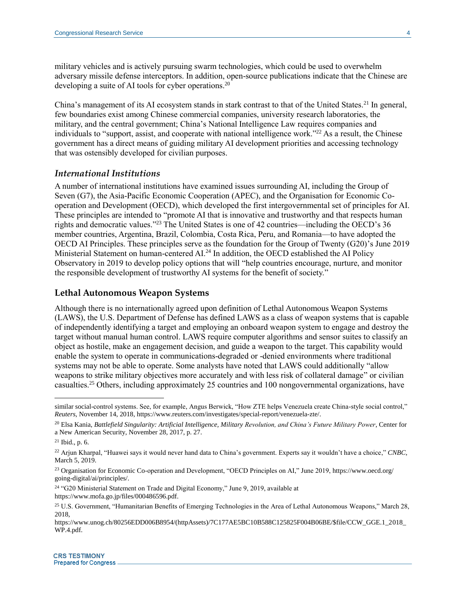military vehicles and is actively pursuing swarm technologies, which could be used to overwhelm adversary missile defense interceptors. In addition, open-source publications indicate that the Chinese are developing a suite of AI tools for cyber operations.<sup>20</sup>

China's management of its AI ecosystem stands in stark contrast to that of the United States.<sup>21</sup> In general, few boundaries exist among Chinese commercial companies, university research laboratories, the military, and the central government; China's National Intelligence Law requires companies and individuals to "support, assist, and cooperate with national intelligence work." <sup>22</sup> As a result, the Chinese government has a direct means of guiding military AI development priorities and accessing technology that was ostensibly developed for civilian purposes.

# *International Institutions*

A number of international institutions have examined issues surrounding AI, including the Group of Seven (G7), the Asia-Pacific Economic Cooperation (APEC), and the Organisation for Economic Cooperation and Development (OECD), which developed the first intergovernmental set of principles for AI. These principles are intended to "promote AI that is innovative and trustworthy and that respects human rights and democratic values." <sup>23</sup> The United States is one of 42 countries—including the OECD's 36 member countries, Argentina, Brazil, Colombia, Costa Rica, Peru, and Romania—to have adopted the OECD AI Principles. These principles serve as the foundation for the Group of Twenty (G20)'s June 2019 Ministerial Statement on human-centered AI.<sup>24</sup> In addition, the OECD established the AI Policy Observatory in 2019 to develop policy options that will "help countries encourage, nurture, and monitor the responsible development of trustworthy AI systems for the benefit of society."

# **Lethal Autonomous Weapon Systems**

Although there is no internationally agreed upon definition of Lethal Autonomous Weapon Systems (LAWS), the U.S. Department of Defense has defined LAWS as a class of weapon systems that is capable of independently identifying a target and employing an onboard weapon system to engage and destroy the target without manual human control. LAWS require computer algorithms and sensor suites to classify an object as hostile, make an engagement decision, and guide a weapon to the target. This capability would enable the system to operate in communications-degraded or -denied environments where traditional systems may not be able to operate. Some analysts have noted that LAWS could additionally "allow weapons to strike military objectives more accurately and with less risk of collateral damage" or civilian casualties.<sup>25</sup> Others, including approximately 25 countries and 100 nongovernmental organizations, have

 $\overline{a}$ 

<sup>24</sup> "G20 Ministerial Statement on Trade and Digital Economy," June 9, 2019, available at https://www.mofa.go.jp/files/000486596.pdf.

similar social-control systems. See, for example, Angus Berwick, "How ZTE helps Venezuela create China-style social control," *Reuters*, November 14, 2018, https://www.reuters.com/investigates/special-report/venezuela-zte/.

<sup>20</sup> Elsa Kania, *Battlefield Singularity: Artificial Intelligence, Military Revolution, and China's Future Military Power*, Center for a New American Security, November 28, 2017, p. 27.

 $21$  Ibid., p. 6.

<sup>22</sup> Arjun Kharpal, "Huawei says it would never hand data to China's government. Experts say it wouldn't have a choice," *CNBC*, March 5, 2019.

<sup>&</sup>lt;sup>23</sup> Organisation for Economic Co-operation and Development, "OECD Principles on AI," June 2019, https://www.oecd.org/ going-digital/ai/principles/.

<sup>25</sup> U.S. Government, "Humanitarian Benefits of Emerging Technologies in the Area of Lethal Autonomous Weapons," March 28, 2018,

https://www.unog.ch/80256EDD006B8954/(httpAssets)/7C177AE5BC10B588C125825F004B06BE/\$file/CCW\_GGE.1\_2018\_ WP.4.pdf.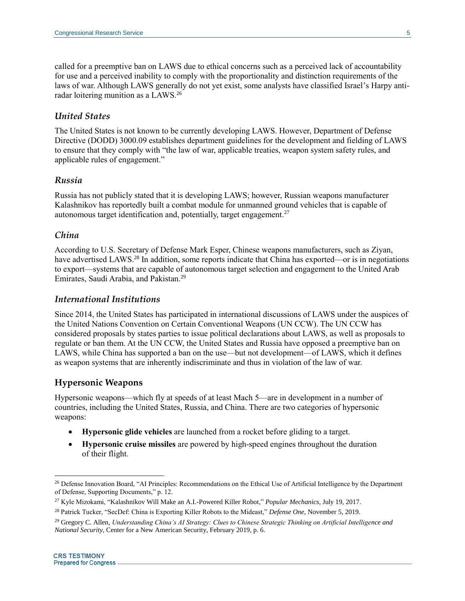called for a preemptive ban on LAWS due to ethical concerns such as a perceived lack of accountability for use and a perceived inability to comply with the proportionality and distinction requirements of the laws of war. Although LAWS generally do not yet exist, some analysts have classified Israel's Harpy antiradar loitering munition as a LAWS.<sup>26</sup>

#### *United States*

The United States is not known to be currently developing LAWS. However, Department of Defense Directive (DODD) 3000.09 establishes department guidelines for the development and fielding of LAWS to ensure that they comply with "the law of war, applicable treaties, weapon system safety rules, and applicable rules of engagement."

# *Russia*

Russia has not publicly stated that it is developing LAWS; however, Russian weapons manufacturer Kalashnikov has reportedly built a combat module for unmanned ground vehicles that is capable of autonomous target identification and, potentially, target engagement. $27$ 

### *China*

According to U.S. Secretary of Defense Mark Esper, Chinese weapons manufacturers, such as Ziyan, have advertised LAWS.<sup>28</sup> In addition, some reports indicate that China has exported—or is in negotiations to export—systems that are capable of autonomous target selection and engagement to the United Arab Emirates, Saudi Arabia, and Pakistan.<sup>29</sup>

# *International Institutions*

Since 2014, the United States has participated in international discussions of LAWS under the auspices of the United Nations Convention on Certain Conventional Weapons (UN CCW). The UN CCW has considered proposals by states parties to issue political declarations about LAWS, as well as proposals to regulate or ban them. At the UN CCW, the United States and Russia have opposed a preemptive ban on LAWS, while China has supported a ban on the use—but not development—of LAWS, which it defines as weapon systems that are inherently indiscriminate and thus in violation of the law of war.

# **Hypersonic Weapons**

Hypersonic weapons—which fly at speeds of at least Mach 5—are in development in a number of countries, including the United States, Russia, and China. There are two categories of hypersonic weapons:

- **Hypersonic glide vehicles** are launched from a rocket before gliding to a target.
- **Hypersonic cruise missiles** are powered by high-speed engines throughout the duration of their flight.

 $\overline{a}$ 

<sup>&</sup>lt;sup>26</sup> Defense Innovation Board, "AI Principles: Recommendations on the Ethical Use of Artificial Intelligence by the Department of Defense, Supporting Documents," p. 12.

<sup>27</sup> Kyle Mizokami, "Kalashnikov Will Make an A.I.-Powered Killer Robot," *Popular Mechanics*, July 19, 2017.

<sup>28</sup> Patrick Tucker, "SecDef: China is Exporting Killer Robots to the Mideast," *Defense One*, November 5, 2019.

<sup>29</sup> Gregory C. Allen, *Understanding China's AI Strategy: Clues to Chinese Strategic Thinking on Artificial Intelligence and National Security*, Center for a New American Security, February 2019, p. 6.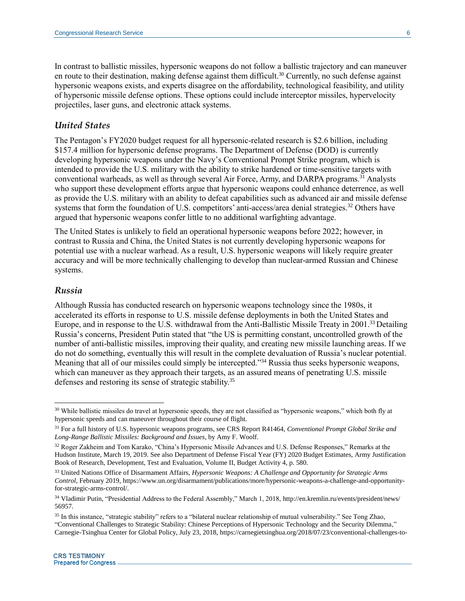In contrast to ballistic missiles, hypersonic weapons do not follow a ballistic trajectory and can maneuver en route to their destination, making defense against them difficult.<sup>30</sup> Currently, no such defense against hypersonic weapons exists, and experts disagree on the affordability, technological feasibility, and utility of hypersonic missile defense options. These options could include interceptor missiles, hypervelocity projectiles, laser guns, and electronic attack systems.

# *United States*

The Pentagon's FY2020 budget request for all hypersonic-related research is \$2.6 billion, including \$157.4 million for hypersonic defense programs. The Department of Defense (DOD) is currently developing hypersonic weapons under the Navy's Conventional Prompt Strike program, which is intended to provide the U.S. military with the ability to strike hardened or time-sensitive targets with conventional warheads, as well as through several Air Force, Army, and DARPA programs.<sup>31</sup> Analysts who support these development efforts argue that hypersonic weapons could enhance deterrence, as well as provide the U.S. military with an ability to defeat capabilities such as advanced air and missile defense systems that form the foundation of U.S. competitors' anti-access/area denial strategies.<sup>32</sup> Others have argued that hypersonic weapons confer little to no additional warfighting advantage.

The United States is unlikely to field an operational hypersonic weapons before 2022; however, in contrast to Russia and China, the United States is not currently developing hypersonic weapons for potential use with a nuclear warhead. As a result, U.S. hypersonic weapons will likely require greater accuracy and will be more technically challenging to develop than nuclear-armed Russian and Chinese systems.

#### *Russia*

 $\overline{a}$ 

Although Russia has conducted research on hypersonic weapons technology since the 1980s, it accelerated its efforts in response to U.S. missile defense deployments in both the United States and Europe, and in response to the U.S. withdrawal from the Anti-Ballistic Missile Treaty in 2001.<sup>33</sup> Detailing Russia's concerns, President Putin stated that "the US is permitting constant, uncontrolled growth of the number of anti-ballistic missiles, improving their quality, and creating new missile launching areas. If we do not do something, eventually this will result in the complete devaluation of Russia's nuclear potential. Meaning that all of our missiles could simply be intercepted." <sup>34</sup> Russia thus seeks hypersonic weapons, which can maneuver as they approach their targets, as an assured means of penetrating U.S. missile defenses and restoring its sense of strategic stability.<sup>35</sup>

<sup>&</sup>lt;sup>30</sup> While ballistic missiles do travel at hypersonic speeds, they are not classified as "hypersonic weapons," which both fly at hypersonic speeds and can maneuver throughout their course of flight.

<sup>31</sup> For a full history of U.S. hypersonic weapons programs, see CRS Report R41464, *Conventional Prompt Global Strike and Long-Range Ballistic Missiles: Background and Issues*, by Amy F. Woolf.

<sup>&</sup>lt;sup>32</sup> Roger Zakheim and Tom Karako, "China's Hypersonic Missile Advances and U.S. Defense Responses," Remarks at the Hudson Institute, March 19, 2019. See also Department of Defense Fiscal Year (FY) 2020 Budget Estimates, Army Justification Book of Research, Development, Test and Evaluation, Volume II, Budget Activity 4, p. 580.

<sup>33</sup> United Nations Office of Disarmament Affairs, *Hypersonic Weapons: A Challenge and Opportunity for Strategic Arms Control*, February 2019, https://www.un.org/disarmament/publications/more/hypersonic-weapons-a-challenge-and-opportunityfor-strategic-arms-control/.

<sup>34</sup> Vladimir Putin, "Presidential Address to the Federal Assembly," March 1, 2018, http://en.kremlin.ru/events/president/news/ 56957.

<sup>&</sup>lt;sup>35</sup> In this instance, "strategic stability" refers to a "bilateral nuclear relationship of mutual vulnerability." See Tong Zhao, "Conventional Challenges to Strategic Stability: Chinese Perceptions of Hypersonic Technology and the Security Dilemma," Carnegie-Tsinghua Center for Global Policy, July 23, 2018, https://carnegietsinghua.org/2018/07/23/conventional-challenges-to-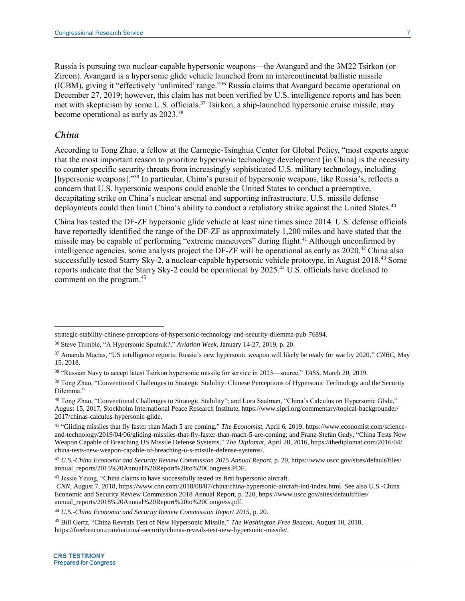Russia is pursuing two nuclear-capable hypersonic weapons—the Avangard and the 3M22 Tsirkon (or Zircon). Avangard is a hypersonic glide vehicle launched from an intercontinental ballistic missile (ICBM), giving it "effectively 'unlimited' range." <sup>36</sup> Russia claims that Avangard became operational on December 27, 2019; however, this claim has not been verified by U.S. intelligence reports and has been met with skepticism by some U.S. officials.<sup>37</sup> Tsirkon, a ship-launched hypersonic cruise missile, may become operational as early as 2023.<sup>38</sup>

# *China*

 $\overline{a}$ 

According to Tong Zhao, a fellow at the Carnegie-Tsinghua Center for Global Policy, "most experts argue that the most important reason to prioritize hypersonic technology development [in China] is the necessity to counter specific security threats from increasingly sophisticated U.S. military technology, including [hypersonic weapons]."<sup>39</sup> In particular, China's pursuit of hypersonic weapons, like Russia's, reflects a concern that U.S. hypersonic weapons could enable the United States to conduct a preemptive, decapitating strike on China's nuclear arsenal and supporting infrastructure. U.S. missile defense deployments could then limit China's ability to conduct a retaliatory strike against the United States.<sup>40</sup>

China has tested the DF-ZF hypersonic glide vehicle at least nine times since 2014. U.S. defense officials have reportedly identified the range of the DF-ZF as approximately 1,200 miles and have stated that the missile may be capable of performing "extreme maneuvers" during flight.<sup>41</sup> Although unconfirmed by intelligence agencies, some analysts project the DF-ZF will be operational as early as 2020.<sup>42</sup> China also successfully tested Starry Sky-2, a nuclear-capable hypersonic vehicle prototype, in August 2018.<sup>43</sup> Some reports indicate that the Starry Sky-2 could be operational by 2025.<sup>44</sup> U.S. officials have declined to comment on the program. 45

strategic-stability-chinese-perceptions-of-hypersonic-technology-and-security-dilemma-pub-76894.

<sup>36</sup> Steve Trimble, "A Hypersonic Sputnik?," *Aviation Week*, January 14-27, 2019, p. 20.

<sup>37</sup> Amanda Macias, "US intelligence reports: Russia's new hypersonic weapon will likely be ready for war by 2020," *CNBC*, May 15, 2018.

<sup>38</sup> "Russian Navy to accept latest Tsirkon hypersonic missile for service in 2023—source," *TASS*, March 20, 2019.

<sup>&</sup>lt;sup>39</sup> Tong Zhao, "Conventional Challenges to Strategic Stability: Chinese Perceptions of Hypersonic Technology and the Security Dilemma."

<sup>40</sup> Tong Zhao, "Conventional Challenges to Strategic Stability"; and Lora Saalman, "China's Calculus on Hypersonic Glide," August 15, 2017, Stockholm International Peace Research Institute, https://www.sipri.org/commentary/topical-backgrounder/ 2017/chinas-calculus-hypersonic-glide.

<sup>41</sup> "Gliding missiles that fly faster than Mach 5 are coming," *The Economist*, April 6, 2019, https://www.economist.com/scienceand-technology/2019/04/06/gliding-missiles-that-fly-faster-than-mach-5-are-coming; and Franz-Stefan Gady, "China Tests New Weapon Capable of Breaching US Missile Defense Systems," *The Diplomat*, April 28, 2016, https://thediplomat.com/2016/04/ china-tests-new-weapon-capable-of-breaching-u-s-missile-defense-systems/.

<sup>42</sup> *U.S.-China Economic and Security Review Commission 2015 Annual Report*, p. 20, https://www.uscc.gov/sites/default/files/ annual\_reports/2015%20Annual%20Report%20to%20Congress.PDF.

<sup>&</sup>lt;sup>43</sup> Jessie Yeung, "China claims to have successfully tested its first hypersonic aircraft.

*CNN*, August 7, 2018, https://www.cnn.com/2018/08/07/china/china-hypersonic-aircraft-intl/index.html. See also U.S.-China Economic and Security Review Commission 2018 Annual Report, p. 220, https://www.uscc.gov/sites/default/files/ annual\_reports/2018%20Annual%20Report%20to%20Congress.pdf.

<sup>44</sup> *U.S.-China Economic and Security Review Commission Report 2015,* p. 20.

<sup>45</sup> Bill Gertz, "China Reveals Test of New Hypersonic Missile," *The Washington Free Beacon*, August 10, 2018, https://freebeacon.com/national-security/chinas-reveals-test-new-hypersonic-missile/.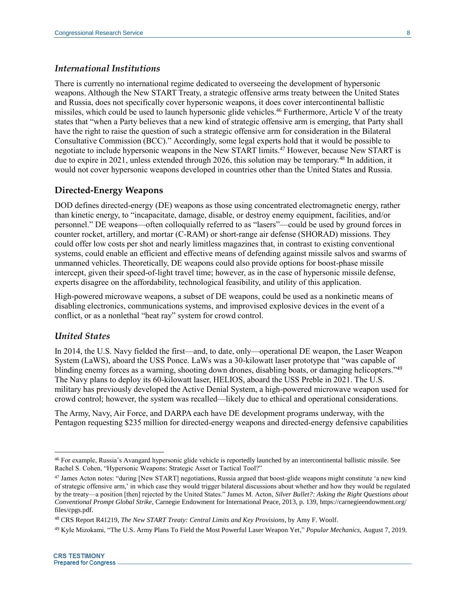# *International Institutions*

There is currently no international regime dedicated to overseeing the development of hypersonic weapons. Although the New START Treaty, a strategic offensive arms treaty between the United States and Russia, does not specifically cover hypersonic weapons, it does cover intercontinental ballistic missiles, which could be used to launch hypersonic glide vehicles.<sup>46</sup> Furthermore, Article V of the treaty states that "when a Party believes that a new kind of strategic offensive arm is emerging, that Party shall have the right to raise the question of such a strategic offensive arm for consideration in the Bilateral Consultative Commission (BCC)." Accordingly, some legal experts hold that it would be possible to negotiate to include hypersonic weapons in the New START limits.<sup>47</sup> However, because New START is due to expire in 2021, unless extended through 2026, this solution may be temporary.<sup>48</sup> In addition, it would not cover hypersonic weapons developed in countries other than the United States and Russia.

### **Directed-Energy Weapons**

DOD defines directed-energy (DE) weapons as those using concentrated electromagnetic energy, rather than kinetic energy, to "incapacitate, damage, disable, or destroy enemy equipment, facilities, and/or personnel." DE weapons—often colloquially referred to as "lasers"—could be used by ground forces in counter rocket, artillery, and mortar (C-RAM) or short-range air defense (SHORAD) missions. They could offer low costs per shot and nearly limitless magazines that, in contrast to existing conventional systems, could enable an efficient and effective means of defending against missile salvos and swarms of unmanned vehicles. Theoretically, DE weapons could also provide options for boost-phase missile intercept, given their speed-of-light travel time; however, as in the case of hypersonic missile defense, experts disagree on the affordability, technological feasibility, and utility of this application.

High-powered microwave weapons, a subset of DE weapons, could be used as a nonkinetic means of disabling electronics, communications systems, and improvised explosive devices in the event of a conflict, or as a nonlethal "heat ray" system for crowd control.

#### *United States*

 $\overline{a}$ 

In 2014, the U.S. Navy fielded the first—and, to date, only—operational DE weapon, the Laser Weapon System (LaWS), aboard the USS Ponce. LaWs was a 30-kilowatt laser prototype that "was capable of blinding enemy forces as a warning, shooting down drones, disabling boats, or damaging helicopters."<sup>49</sup> The Navy plans to deploy its 60-kilowatt laser, HELIOS, aboard the USS Preble in 2021. The U.S. military has previously developed the Active Denial System, a high-powered microwave weapon used for crowd control; however, the system was recalled—likely due to ethical and operational considerations.

The Army, Navy, Air Force, and DARPA each have DE development programs underway, with the Pentagon requesting \$235 million for directed-energy weapons and directed-energy defensive capabilities

<sup>46</sup> For example, Russia's Avangard hypersonic glide vehicle is reportedly launched by an intercontinental ballistic missile. See Rachel S. Cohen, "Hypersonic Weapons: Strategic Asset or Tactical Tool?"

<sup>47</sup> James Acton notes: "during [New START] negotiations, Russia argued that boost-glide weapons might constitute 'a new kind of strategic offensive arm,' in which case they would trigger bilateral discussions about whether and how they would be regulated by the treaty—a position [then] rejected by the United States." James M. Acton, *Silver Bullet?: Asking the Right Questions about Conventional Prompt Global Strike*, Carnegie Endowment for International Peace, 2013, p. 139, https://carnegieendowment.org/ files/cpgs.pdf.

<sup>48</sup> CRS Report R41219, *The New START Treaty: Central Limits and Key Provisions*, by Amy F. Woolf.

<sup>49</sup> Kyle Mizokami, "The U.S. Army Plans To Field the Most Powerful Laser Weapon Yet," *Popular Mechanics*, August 7, 2019.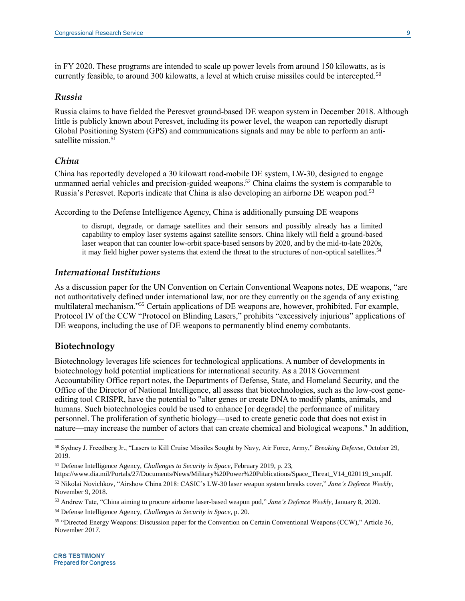in FY 2020. These programs are intended to scale up power levels from around 150 kilowatts, as is currently feasible, to around 300 kilowatts, a level at which cruise missiles could be intercepted.<sup>50</sup>

#### *Russia*

Russia claims to have fielded the Peresvet ground-based DE weapon system in December 2018. Although little is publicly known about Peresvet, including its power level, the weapon can reportedly disrupt Global Positioning System (GPS) and communications signals and may be able to perform an antisatellite mission.<sup>51</sup>

## *China*

China has reportedly developed a 30 kilowatt road-mobile DE system, LW-30, designed to engage unmanned aerial vehicles and precision-guided weapons.<sup>52</sup> China claims the system is comparable to Russia's Peresvet. Reports indicate that China is also developing an airborne DE weapon pod.<sup>53</sup>

According to the Defense Intelligence Agency, China is additionally pursuing DE weapons

to disrupt, degrade, or damage satellites and their sensors and possibly already has a limited capability to employ laser systems against satellite sensors. China likely will field a ground-based laser weapon that can counter low-orbit space-based sensors by 2020, and by the mid-to-late 2020s, it may field higher power systems that extend the threat to the structures of non-optical satellites.<sup>54</sup>

#### *International Institutions*

As a discussion paper for the UN Convention on Certain Conventional Weapons notes, DE weapons, "are not authoritatively defined under international law, nor are they currently on the agenda of any existing multilateral mechanism." <sup>55</sup> Certain applications of DE weapons are, however, prohibited. For example, Protocol IV of the CCW "Protocol on Blinding Lasers," prohibits "excessively injurious" applications of DE weapons, including the use of DE weapons to permanently blind enemy combatants.

# **Biotechnology**

 $\overline{a}$ 

Biotechnology leverages life sciences for technological applications. A number of developments in biotechnology hold potential implications for international security. As a 2018 Government Accountability Office report notes, the Departments of Defense, State, and Homeland Security, and the Office of the Director of National Intelligence, all assess that biotechnologies, such as the low-cost geneediting tool CRISPR, have the potential to "alter genes or create DNA to modify plants, animals, and humans. Such biotechnologies could be used to enhance [or degrade] the performance of military personnel. The proliferation of synthetic biology—used to create genetic code that does not exist in nature—may increase the number of actors that can create chemical and biological weapons." In addition,

<sup>50</sup> Sydney J. Freedberg Jr., "Lasers to Kill Cruise Missiles Sought by Navy, Air Force, Army," *Breaking Defense*, October 29, 2019.

<sup>51</sup> Defense Intelligence Agency, *Challenges to Security in Space*, February 2019, p. 23,

https://www.dia.mil/Portals/27/Documents/News/Military%20Power%20Publications/Space\_Threat\_V14\_020119\_sm.pdf. <sup>52</sup> Nikolai Novichkov, "Airshow China 2018: CASIC's LW-30 laser weapon system breaks cover," *Jane's Defence Weekly*, November 9, 2018.

<sup>53</sup> Andrew Tate, "China aiming to procure airborne laser-based weapon pod," *Jane's Defence Weekly*, January 8, 2020.

<sup>54</sup> Defense Intelligence Agency, *Challenges to Security in Space*, p. 20.

<sup>55</sup> "Directed Energy Weapons: Discussion paper for the Convention on Certain Conventional Weapons (CCW)," Article 36, November 2017.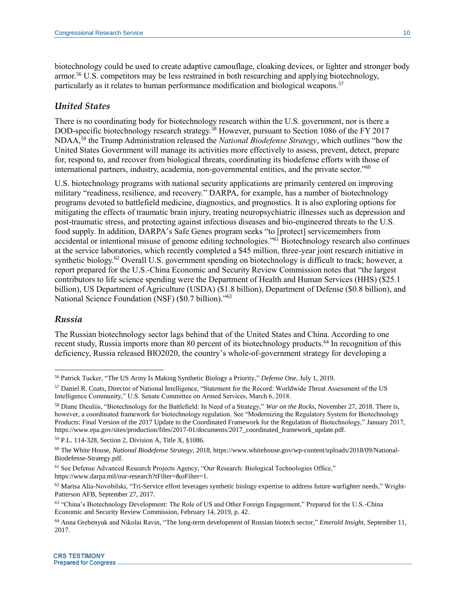biotechnology could be used to create adaptive camouflage, cloaking devices, or lighter and stronger body armor.<sup>56</sup> U.S. competitors may be less restrained in both researching and applying biotechnology, particularly as it relates to human performance modification and biological weapons.<sup>57</sup>

#### *United States*

There is no coordinating body for biotechnology research within the U.S. government, nor is there a DOD-specific biotechnology research strategy.<sup>58</sup> However, pursuant to Section 1086 of the FY 2017 NDAA,<sup>59</sup> the Trump Administration released the *National Biodefense Strategy*, which outlines "how the United States Government will manage its activities more effectively to assess, prevent, detect, prepare for, respond to, and recover from biological threats, coordinating its biodefense efforts with those of international partners, industry, academia, non-governmental entities, and the private sector." 60

U.S. biotechnology programs with national security applications are primarily centered on improving military "readiness, resilience, and recovery." DARPA, for example, has a number of biotechnology programs devoted to battlefield medicine, diagnostics, and prognostics. It is also exploring options for mitigating the effects of traumatic brain injury, treating neuropsychiatric illnesses such as depression and post-traumatic stress, and protecting against infectious diseases and bio-engineered threats to the U.S. food supply. In addition, DARPA's Safe Genes program seeks "to [protect] servicemembers from accidental or intentional misuse of genome editing technologies."<sup>61</sup> Biotechnology research also continues at the service laboratories, which recently completed a \$45 million, three-year joint research initiative in synthetic biology.<sup>62</sup> Overall U.S. government spending on biotechnology is difficult to track; however, a report prepared for the U.S.-China Economic and Security Review Commission notes that "the largest contributors to life science spending were the Department of Health and Human Services (HHS) (\$25.1 billion), US Department of Agriculture (USDA) (\$1.8 billion), Department of Defense (\$0.8 billion), and National Science Foundation (NSF) (\$0.7 billion)." 63

# *Russia*

 $\overline{a}$ 

The Russian biotechnology sector lags behind that of the United States and China. According to one recent study, Russia imports more than 80 percent of its biotechnology products.<sup>64</sup> In recognition of this deficiency, Russia released BIO2020, the country's whole-of-government strategy for developing a

<sup>59</sup> P.L. 114-328, Section 2, Division A, Title X, §1086.

<sup>56</sup> Patrick Tucker, "The US Army Is Making Synthetic Biology a Priority," *Defense One*, July 1, 2019.

<sup>57</sup> Daniel R. Coats, Director of National Intelligence, "Statement for the Record: Worldwide Threat Assessment of the US Intelligence Community," U.S. Senate Committee on Armed Services, March 6, 2018.

<sup>58</sup> Diane Dieuliis, "Biotechnology for the Battlefield: In Need of a Strategy," *War on the Rocks*, November 27, 2018. There is, however, a coordinated framework for biotechnology regulation. See "Modernizing the Regulatory System for Biotechnology Products: Final Version of the 2017 Update to the Coordinated Framework for the Regulation of Biotechnology," January 2017, https://www.epa.gov/sites/production/files/2017-01/documents/2017\_coordinated\_framework\_update.pdf.

<sup>60</sup> The White House, *National Biodefense Strategy*, 2018, https://www.whitehouse.gov/wp-content/uploads/2018/09/National-Biodefense-Strategy.pdf.

<sup>61</sup> See Defense Advanced Research Projects Agency, "Our Research: Biological Technologies Office," https://www.darpa.mil/our-research?tFilter=&oFilter=1.

 $62$  Marisa Alia-Novobilski, "Tri-Service effort leverages synthetic biology expertise to address future warfighter needs," Wright-Patterson AFB, September 27, 2017.

<sup>63</sup> "China's Biotechnology Development: The Role of US and Other Foreign Engagement," Prepared for the U.S.-China Economic and Security Review Commission, February 14, 2019, p. 42.

<sup>64</sup> Anna Grebenyuk and Nikolai Ravin, "The long-term development of Russian biotech sector," *Emerald Insight*, September 11, 2017.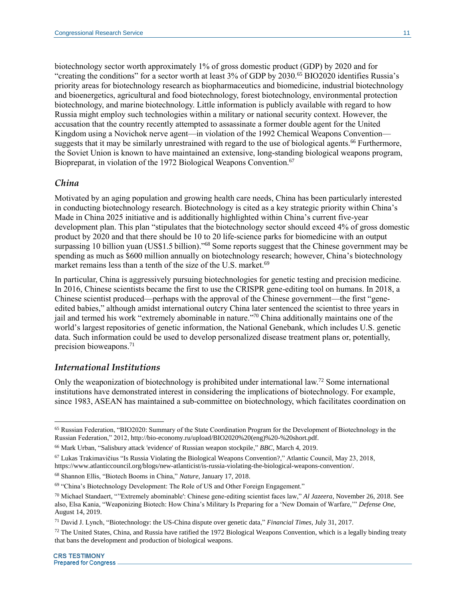biotechnology sector worth approximately 1% of gross domestic product (GDP) by 2020 and for "creating the conditions" for a sector worth at least 3% of GDP by 2030.<sup>65</sup> BIO2020 identifies Russia's priority areas for biotechnology research as biopharmaceutics and biomedicine, industrial biotechnology and bioenergetics, agricultural and food biotechnology, forest biotechnology, environmental protection biotechnology, and marine biotechnology. Little information is publicly available with regard to how Russia might employ such technologies within a military or national security context. However, the accusation that the country recently attempted to assassinate a former double agent for the United Kingdom using a Novichok nerve agent—in violation of the 1992 Chemical Weapons Convention suggests that it may be similarly unrestrained with regard to the use of biological agents.<sup>66</sup> Furthermore, the Soviet Union is known to have maintained an extensive, long-standing biological weapons program, Biopreparat, in violation of the 1972 Biological Weapons Convention.<sup>67</sup>

#### *China*

Motivated by an aging population and growing health care needs, China has been particularly interested in conducting biotechnology research. Biotechnology is cited as a key strategic priority within China's Made in China 2025 initiative and is additionally highlighted within China's current five-year development plan. This plan "stipulates that the biotechnology sector should exceed 4% of gross domestic product by 2020 and that there should be 10 to 20 life-science parks for biomedicine with an output surpassing 10 billion yuan (US\$1.5 billion)."<sup>68</sup> Some reports suggest that the Chinese government may be spending as much as \$600 million annually on biotechnology research; however, China's biotechnology market remains less than a tenth of the size of the U.S. market.<sup>69</sup>

In particular, China is aggressively pursuing biotechnologies for genetic testing and precision medicine. In 2016, Chinese scientists became the first to use the CRISPR gene-editing tool on humans. In 2018, a Chinese scientist produced—perhaps with the approval of the Chinese government—the first "geneedited babies," although amidst international outcry China later sentenced the scientist to three years in jail and termed his work "extremely abominable in nature." <sup>70</sup> China additionally maintains one of the world's largest repositories of genetic information, the National Genebank, which includes U.S. genetic data. Such information could be used to develop personalized disease treatment plans or, potentially, precision bioweapons.<sup>71</sup>

# *International Institutions*

Only the weaponization of biotechnology is prohibited under international law.<sup>72</sup> Some international institutions have demonstrated interest in considering the implications of biotechnology. For example, since 1983, ASEAN has maintained a sub-committee on biotechnology, which facilitates coordination on

<sup>68</sup> Shannon Ellis, "Biotech Booms in China," *Nature*, January 17, 2018.

 $\overline{a}$ 

<sup>65</sup> Russian Federation, "BIO2020: Summary of the State Coordination Program for the Development of Biotechnology in the Russian Federation," 2012, http://bio-economy.ru/upload/BIO2020%20(eng)%20-%20short.pdf.

<sup>66</sup> Mark Urban, "Salisbury attack 'evidence' of Russian weapon stockpile," *BBC*, March 4, 2019.

<sup>67</sup> Lukas Trakimavičius "Is Russia Violating the Biological Weapons Convention?," Atlantic Council, May 23, 2018, https://www.atlanticcouncil.org/blogs/new-atlanticist/is-russia-violating-the-biological-weapons-convention/.

<sup>69</sup> "China's Biotechnology Development: The Role of US and Other Foreign Engagement."

<sup>70</sup> Michael Standaert, "''Extremely abominable': Chinese gene-editing scientist faces law," *Al Jazeera*, November 26, 2018. See also, Elsa Kania, "Weaponizing Biotech: How China's Military Is Preparing for a 'New Domain of Warfare,'" *Defense One*, August 14, 2019.

<sup>71</sup> David J. Lynch, "Biotechnology: the US-China dispute over genetic data," *Financial Times*, July 31, 2017.

 $72$  The United States, China, and Russia have ratified the 1972 Biological Weapons Convention, which is a legally binding treaty that bans the development and production of biological weapons.